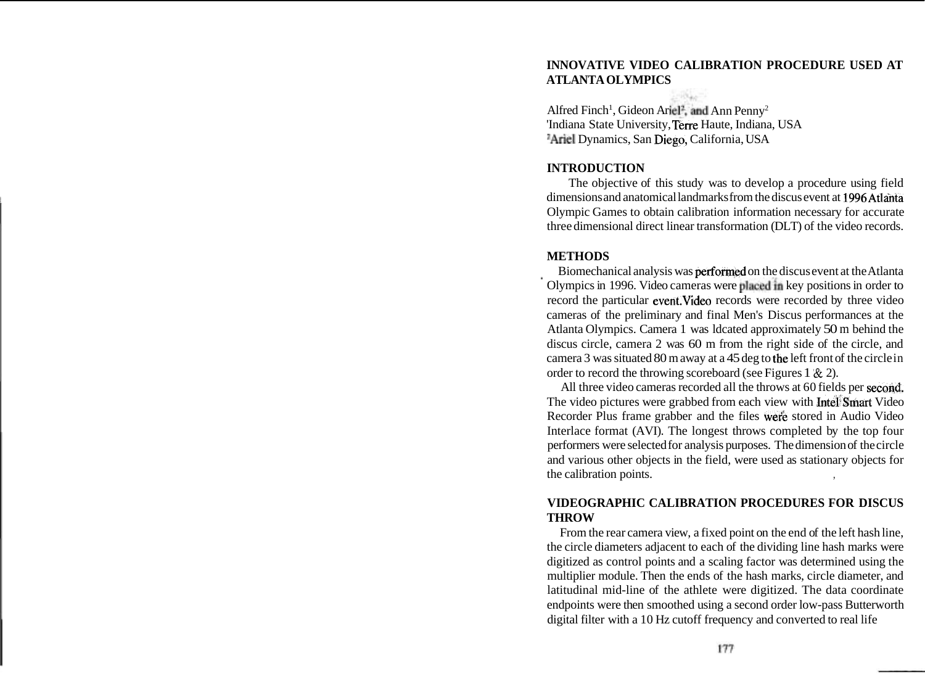# **INNOVATIVE VIDEO CALIBRATION PROCEDURE USED AT ATLANTA OLYMPICS**

Alfred Finch<sup>1</sup>, Gideon Ariel<sup>2</sup>, and Ann Penny<sup>2</sup> 'Indiana State University, Terre Haute, Indiana, USA <sup>2</sup>Ariel Dynamics, San Diego, California, USA

### **INTRODUCTION**

The objective of this study was to develop a procedure using field dimensions and anatomical landmarks from the discus event at 1996Atlahta Olympic Games to obtain calibration information necessary for accurate three dimensional direct linear transformation (DLT) of the video records.

#### **METHODS**

**a** Biomechanical analysis was performed on the discus event at the Atlanta Olympics in 1996. Video cameras were placedin key positions in order to record the particular event.Video records were recorded by three video cameras of the preliminary and final Men's Discus performances at the Atlanta Olympics. Camera 1 was ldcated approximately 50 m behind the discus circle, camera 2 was 60 m from the right side of the circle, and camera 3 was situated 80 m away at a 45 deg to the left front of the circle in order to record the throwing scoreboard (see Figures 1 & 2).

All three video cameras recorded all the throws at 60 fields per second. The video pictures were grabbed from each view with **Intel**'Smart Video Recorder Plus frame grabber and the files wefe stored in Audio Video Interlace format (AVI). The longest throws completed by the top four performers were selected for analysis purposes. The dimension of the circle and various other objects in the field, were used as stationary objects for the calibration points.

## **VIDEOGRAPHIC CALIBRATION PROCEDURES FOR DISCUS THROW**

From the rear camera view, a fixed point on the end of the left hash line, the circle diameters adjacent to each of the dividing line hash marks were digitized as control points and a scaling factor was determined using the multiplier module. Then the ends of the hash marks, circle diameter, and latitudinal mid-line of the athlete were digitized. The data coordinate endpoints were then smoothed using a second order low-pass Butterworth digital filter with a 10 Hz cutoff frequency and converted to real life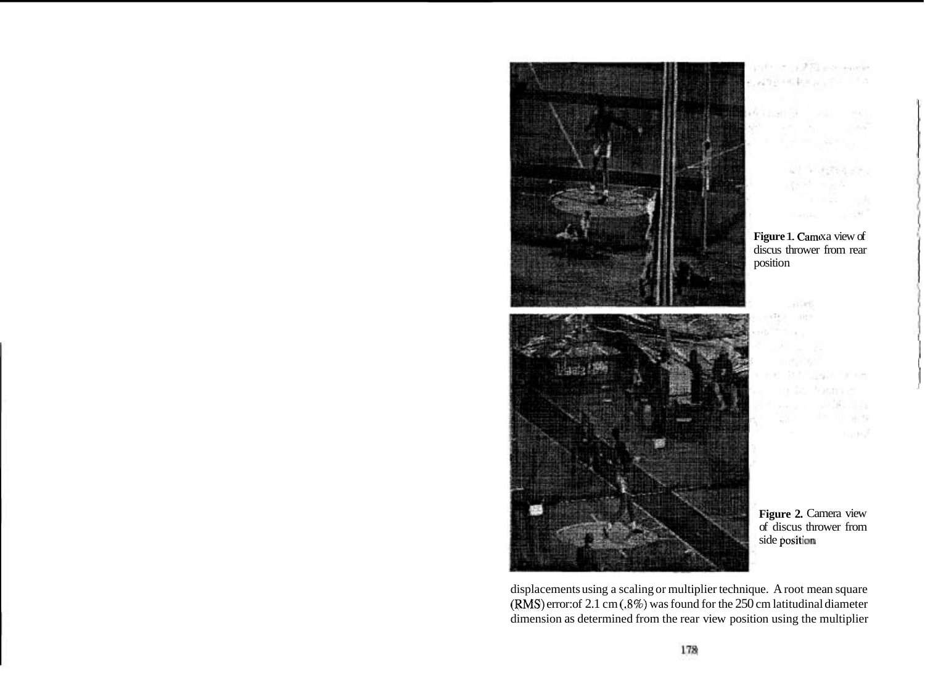

displacements using a scaling or multiplier technique. A root mean square **(RMS)** error: of 2.1 cm **(3%)** was found for the 250 cm latitudinal diameter dimension as determined from the rear view position using the multiplier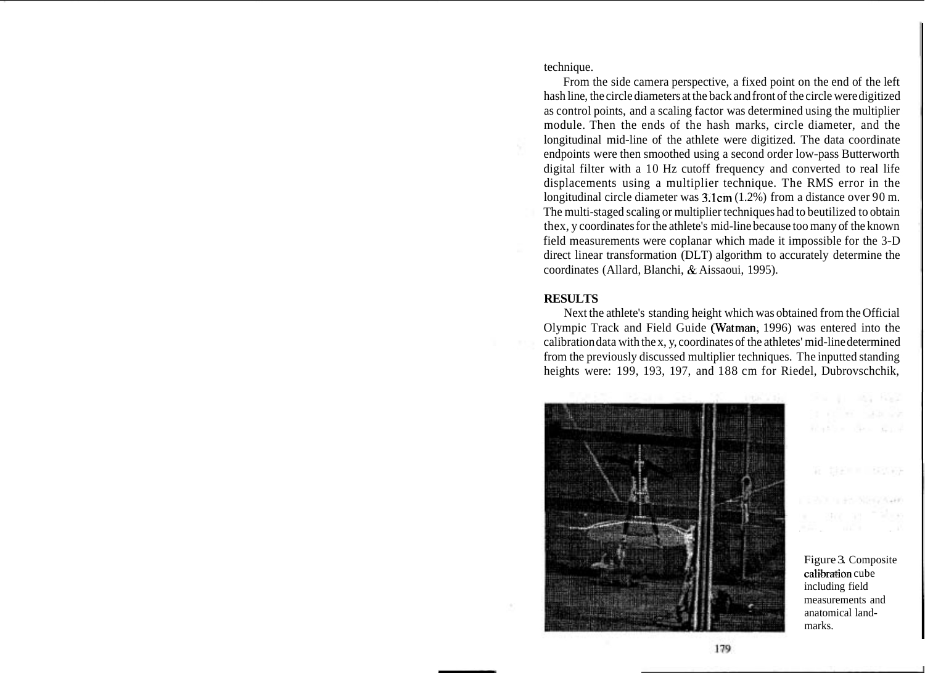technique.

From the side camera perspective, a fixed point on the end of the left hash line, the circle diameters at the back and front of the circle were digitized as control points, and a scaling factor was determined using the multiplier module. Then the ends of the hash marks, circle diameter, and the longitudinal mid-line of the athlete were digitized. The data coordinate endpoints were then smoothed using a second order low-pass Butterworth digital filter with a 10 Hz cutoff frequency and converted to real life displacements using a multiplier technique. The RMS error in the longitudinal circle diameter was 3.lcm (1.2%) from a distance over 90 m. The multi-staged scaling or multiplier techniques had to beutilized to obtain thex, y coordinates for the athlete's mid-line because too many of the known field measurements were coplanar which made it impossible for the 3-D direct linear transformation (DLT) algorithm to accurately determine the coordinates (Allard, Blanchi, & Aissaoui, 1995).

### **RESULTS**

Next the athlete's standing height which was obtained from the Official Olympic Track and Field Guide (Watman, 1996) was entered into the calibration data with the x, y, coordinates of the athletes' mid-line determined from the previously discussed multiplier techniques. The inputted standing heights were: 199, 193, 197, and 188 cm for Riedel, Dubrovschchik,



Figure 3. Composite calibration cube including field measurements and anatomical landmarks.

For the state hands

Robert Com

岩川県田原町 三郎氏病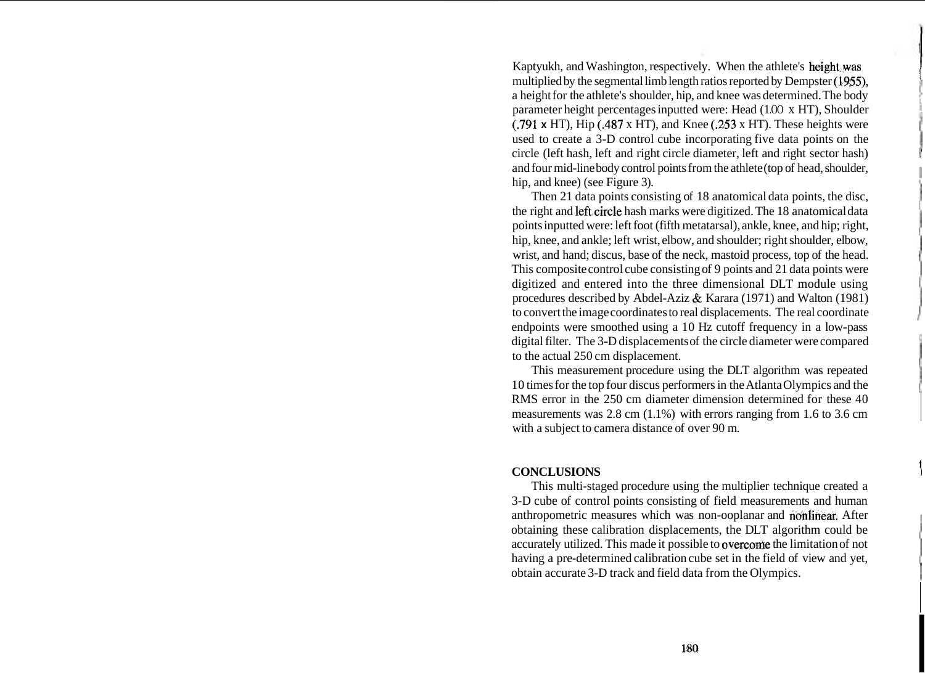Kaptyukh, and Washington, respectively. When the athlete's height, was multiplied by the segmental limb length ratios reported by Dempster (1955). a height for the athlete's shoulder, hip, and knee was determined. The body <sup>1</sup> parameter height percentages inputted were: Head (1.00 x HT), Shoulder (.791 **x** HT), Hip (.487 x HT), and Knee (.253 x HT). These heights were used to create a 3-D control cube incorporating five data points on the circle (left hash, left and right circle diameter, left and right sector hash) and four mid-line body control points from the athlete (top of head, shoulder, hip, and knee) (see Figure 3).

Then 21 data points consisting of 18 anatomical data points, the disc, the right and left-circle hash marks were digitized. The 18 anatomical data points inputted were: left foot (fifth metatarsal), ankle, knee, and hip; right, hip, knee, and ankle; left wrist, elbow, and shoulder; right shoulder, elbow, wrist, and hand; discus, base of the neck, mastoid process, top of the head. This composite control cube consisting of 9 points and 21 data points were digitized and entered into the three dimensional DLT module using procedures described by Abdel-Aziz & Karara (1971) and Walton (1981) endpoints were smoothed using a 10 Hz cutoff frequency in a low-pass to convert the image coordinates to real displacements. The real coordinate digital filter. The 3-D displacements of the circle diameter were compared to the actual 250 cm displacement.

This measurement procedure using the DLT algorithm was repeated 10 times for the top four discus performers in the Atlanta Olympics and the RMS error in the 250 cm diameter dimension determined for these 40 measurements was 2.8 cm (1.1%) with errors ranging from 1.6 to 3.6 cm with a subject to camera distance of over 90 m.

### $CONCLUSIONS$

This multi-staged procedure using the multiplier technique created a 3-D cube of control points consisting of field measurements and human anthropometric measures which was non-ooplanar and nonlihear. After obtaining these calibration displacements, the DLT algorithm could be accurately utilized. This made it possible to overcome the limitation of not having a pre-determined calibration cube set in the field of view and yet, <sup>1</sup> obtain accurate 3-D track and field data from the Olympics. I